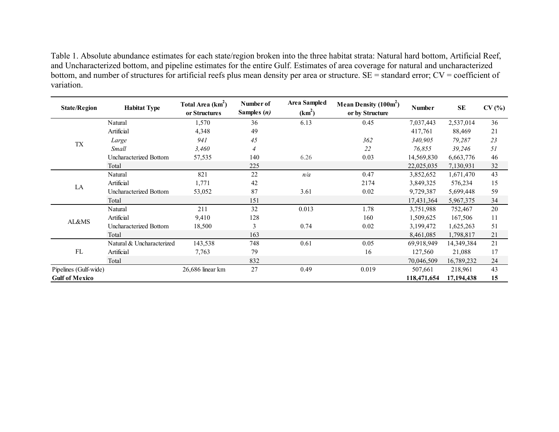Table 1. Absolute abundance estimates for each state/region broken into the three habitat strata: Natural hard bottom, Artificial Reef, and Uncharacterized bottom, and pipeline estimates for the entire Gulf. Estimates of area coverage for natural and uncharacterized bottom, and number of structures for artificial reefs plus mean density per area or structure. SE = standard error; CV = coefficient of variation.

| <b>State/Region</b>   | <b>Habitat Type</b>       |                  | Number of<br>Samples $(n)$ | Area Sampled<br>$(km^2)$ | Mean Density $(100m^2)$<br>or by Structure | <b>Number</b> | <b>SE</b>  | CV(% |
|-----------------------|---------------------------|------------------|----------------------------|--------------------------|--------------------------------------------|---------------|------------|------|
|                       | Natural                   | 1,570            | 36                         | 6.13                     | 0.45                                       | 7,037,443     | 2,537,014  | 36   |
|                       | Artificial                | 4,348            | 49                         |                          |                                            | 417,761       | 88,469     | 21   |
|                       | Large                     | 941              | 45                         |                          | 362                                        | 340,905       | 79,287     | 23   |
| <b>TX</b>             | Small                     | 3,460            | $\overline{4}$             |                          | 22                                         | 76,855        | 39,246     | 51   |
|                       | Uncharacterized Bottom    | 57,535           | 140                        | 6.26                     | 0.03                                       | 14,569,830    | 6,663,776  | 46   |
|                       | Total                     |                  | 225                        |                          |                                            | 22,025,035    | 7,130,931  | 32   |
|                       | Natural                   | 821              | 22                         | n/a                      | 0.47                                       | 3,852,652     | 1,671,470  | 43   |
| LA                    | Artificial                | 1,771            | 42                         |                          | 2174                                       | 3,849,325     | 576,234    | 15   |
|                       | Uncharacterized Bottom    | 53,052           | 87                         | 3.61                     | 0.02                                       | 9,729,387     | 5,699,448  | 59   |
|                       | Total                     |                  | 151                        |                          |                                            | 17,431,364    | 5,967,375  | 34   |
|                       | Natural                   | 211              | 32                         | 0.013                    | 1.78                                       | 3,751,988     | 752,467    | 20   |
| AL&MS                 | Artificial                | 9,410            | 128                        |                          | 160                                        | 1,509,625     | 167,506    | 11   |
|                       | Uncharacterized Bottom    | 18,500           | 3                          | 0.74                     | 0.02                                       | 3,199,472     | 1,625,263  | 51   |
|                       | Total                     |                  | 163                        |                          |                                            | 8,461,085     | 1,798,817  | 21   |
| FL                    | Natural & Uncharacterized | 143,538          | 748                        | 0.61                     | 0.05                                       | 69,918,949    | 14,349,384 | 21   |
|                       | Artificial                | 7,763            | 79                         |                          | 16                                         | 127,560       | 21,088     | 17   |
|                       | Total                     |                  | 832                        |                          |                                            | 70,046,509    | 16,789,232 | 24   |
| Pipelines (Gulf-wide) |                           | 26,686 linear km | 27                         | 0.49                     | 0.019                                      | 507,661       | 218,961    | 43   |
| <b>Gulf of Mexico</b> |                           |                  |                            |                          |                                            | 118,471,654   | 17,194,438 | 15   |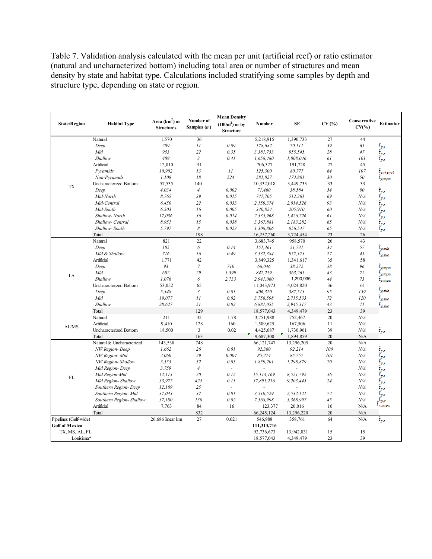Table 7. Validation analysis calculated with the mean per unit (artificial reef) or ratio estimator (natural and uncharacterized bottom) including total area or number of structures and mean density by state and habitat type. Calculations included stratifying some samples by depth and structure type, depending on state or region*.*

| <b>State/Region</b>   | <b>Habitat Type</b>       | Area $(km2)$ or<br><b>Structures</b> | Number of<br>Samples $(n)$ | <b>Mean Density</b><br>$(100m^2)$ or by<br><b>Structure</b> | Number         | <b>SE</b>  | CV(% | Conservative<br>$CV(\% )$ | <b>Estimator</b>              |
|-----------------------|---------------------------|--------------------------------------|----------------------------|-------------------------------------------------------------|----------------|------------|------|---------------------------|-------------------------------|
|                       | Natural                   | 1,570                                | 36                         |                                                             | 5,218,915      | 1,390,733  | 27   | 44                        |                               |
|                       | Deep                      | 209                                  | 11                         | 0.09                                                        | 178,682        | 70,111     | 39   | 65                        | $\hat{t}_{yx}$                |
|                       | Mid                       | 953                                  | 22                         | 0.35                                                        | 3,381,753      | 955,545    | 28   | 47                        | $\hat{t}_{yx}$                |
|                       | Shallow                   | 409                                  | $\mathfrak{Z}$             | 0.41                                                        | 1,658,480      | 1,008,046  | 61   | 101                       | $\hat{t}_{yx}$                |
|                       | Artificial                | 12,010                               | 31                         |                                                             | 706,327        | 191,728    | 27   | 45                        |                               |
|                       | Pyramids                  | 10,902                               | 13                         | 11                                                          | 125,300        | 80,777     | 64   | 107                       | $\hat{t}_{yr(pyr)}$           |
|                       | Non-Pyramids              | 1,108                                | 18                         | 524                                                         | 581,027        | 173,881    | 30   | 50                        | $t_{y, mpu}$                  |
| <b>TX</b>             | Uncharacterized Bottom    | 57,535                               | 140                        |                                                             | 10,332,018     | 3,449,733  | 33   | 33                        |                               |
|                       | Deep                      | 4.034                                | $\overline{4}$             | 0.002                                                       | 71,460         | 38,584     | 54   | 90                        | $\hat{t}_{yx}$                |
|                       | Mid-North                 | 8,765                                | 39                         | 0.015                                                       | 747,705        | 512,361    | 69   | N/A                       |                               |
|                       | Mid-Central               | 6,450                                | 22                         | 0.033                                                       | 2,159,374      | 2,014,526  | 93   | N/A                       | $\hat{t}_{y,r}$               |
|                       | Mid-South                 | 6.503                                | 16                         | 0.005                                                       | 340,824        | 205,910    | 60   | N/A                       |                               |
|                       | Shallow-North             | 17,036                               | 36                         | 0.014                                                       | 2,335,968      | 1,426,726  | 61   | N/A                       |                               |
|                       | Shallow- Central          | 8.951                                | 15                         | 0.038                                                       | 3,367,881      | 2,183,282  | 65   | N/A                       |                               |
|                       | Shallow-South             | 5,797                                | 8                          | 0.023                                                       | 1,308,806      | 856,547    | 65   | N/A                       | $\hat{t}_{yx}$                |
|                       | Total                     |                                      | 198                        |                                                             | 16,257,260     | 3,724,454  | 23   | 26                        |                               |
|                       | Natural                   | 821                                  | 22                         |                                                             | 3,683,745      | 958,570    | 26   | 43                        |                               |
|                       | Deep                      | 105                                  | 6                          | 0.14                                                        | 151,361        | 51,731     | 34   | 57                        | $\hat{t}_{ysub}$              |
|                       | Mid & Shallow             | 716                                  | 16                         | 0.49                                                        | 3,532,384      | 957,173    | 27   | 45                        | $t_{\scriptscriptstyle ysub}$ |
|                       | Artificial                | 1,771                                | 42                         |                                                             | 3,849,325      | 1,341,617  | 35   | 58                        |                               |
|                       | Deep                      | 93                                   | $\overline{7}$             | 710                                                         | 66,046         | 38,272     | 58   | 96                        | $\hat{t}_{y, mpu}$            |
|                       | Mid                       | 602                                  | 29                         | 1,399                                                       | 842,219        | 363,261    | 43   | 72                        | $\hat{t}_{y, mpu}$            |
| LA                    | Shallow                   | 1,076                                | 6                          | 2,733                                                       | 2,941,060      | 1,290,935  | 44   | 73                        | $t_{y, mpu}$                  |
|                       | Uncharacterized Bottom    | 53,052                               | 65                         |                                                             | 11,043,973     | 4,024,820  | 36   | 61                        |                               |
|                       | Deep                      | 5,348                                | $\mathfrak{z}$             | 0.01                                                        | 406,320        | 387,513    | 95   | 159                       | $\hat{t}_{ysub}$              |
|                       | Mid                       | 19,077                               | 11                         | 0.02                                                        | 3,756,598      | 2,715,533  | 72   | 120                       | $\hat{t}_{ysub}$              |
|                       | Shallow                   | 28,627                               | 51                         | 0.02                                                        | 6,881,055      | 2,945,317  | 43   | $7\mathcal{I}$            | $t_{ysub}$                    |
|                       | Total                     |                                      | 129                        |                                                             | 18,577,043     | 4,349,479  | 23   | 39                        |                               |
|                       | Natural                   | 211                                  | 32                         | 1.78                                                        | 3,751,988      | 752,467    | 20   | N/A                       |                               |
|                       | Artificial                | 9,410                                | 128                        | 160                                                         | 1,509,625      | 167,506    | 11   | N/A                       |                               |
| AL/MS                 | Uncharacterized Bottom    | 18,500                               | $\overline{\mathbf{3}}$    | 0.02                                                        | 4,425,687      | 1,730,961  | 39   | N/A                       | $\hat{t}_{yx}$                |
|                       | Total                     |                                      | 163                        |                                                             | ▼<br>9,687,300 | 1,894,859  | 20   | N/A                       |                               |
|                       | Natural & Uncharacterized | 143,538                              | 748                        |                                                             | 66,121,747     | 13,296,205 | 20   | N/A                       |                               |
|                       | NW Region-Deep            | 1,662                                | 26                         | 0.01                                                        | 92,360         | 92,214     | 100  | N/A                       | $\hat{t}_{yx}$                |
|                       | NW Region- Mid            | 2,060                                | 29                         | 0.004                                                       | 85,274         | 85,757     | 101  | N/A                       |                               |
|                       | NW Region- Shallow        | 3,553                                | 52                         | 0.05                                                        | 1,859,201      | 1,298,879  | 70   | N/A                       | $\hat{t}_{yx}$                |
|                       | Mid Region-Deep           | 3,759                                | $\sqrt{4}$                 | L                                                           |                |            |      | N/A                       |                               |
|                       | Mid Region-Mid            | 12, 113                              | 20                         | 0.12                                                        | 15,114,169     | 8,521,792  | 56   | N/A                       | $\tilde{t}_{yx}$              |
| FL                    | Mid Region- Shallow       | 33,977                               | 425                        | 0.11                                                        | 37,891,216     | 9,203,445  | 24   | N/A                       | $\hat{t}_{yx}$                |
|                       | Southern Region- Deep     | 12,189                               | 25                         | $\omega$                                                    |                |            |      | N/A                       | $\hat{t}_{yx}$                |
|                       | Southern Region- Mid      | 37,043                               | 37                         | 0.01                                                        | 3,510,529      | 2,532,121  | 72   | N/A                       | $\hat{t}_{yx}$                |
|                       | Southern Region- Shallow  | 37,180                               | 130                        | 0.02                                                        | 7,568,998      | 3,368,997  | 45   | N/A                       | $t_{yx}$                      |
|                       | Artificial                | 7,763                                | 84                         | 16                                                          | 123,377        | 20,016     | 16   | N/A                       | $\iota_{y, mpu}$              |
|                       | Total                     |                                      | 832                        |                                                             | 66,245,124     | 13,296,220 | 20   | N/A                       |                               |
| Pipelines (Gulf-wide) |                           | 26,686 linear km                     | 27                         | 0.021                                                       | 546,988        | 358,761    | 64   | N/A                       | $\hat{t}_{yx}$                |
| <b>Gulf of Mexico</b> |                           |                                      |                            |                                                             | 111,313,716    |            |      |                           |                               |
| TX, MS, AL, FL        |                           |                                      |                            |                                                             | 92,736,673     | 13,942,031 | 15   | 15                        |                               |
| Louisiana*            |                           |                                      |                            |                                                             | 18,577,043     | 4,349,479  | 23   | 39                        |                               |
|                       |                           |                                      |                            |                                                             |                |            |      |                           |                               |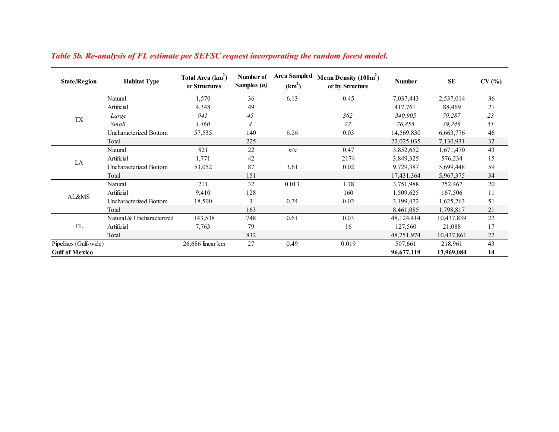| <b>State/Region</b>   | <b>Habitat Type</b>       | Total Area (km <sup>2</sup> )<br>or Structures | Number of<br>Samples $(n)$ | <b>Area Sampled</b><br>$(km^2)$ | Mean Density $(100m^2)$<br>or by Structure | <b>Number</b> | <b>SE</b>  | CV(% |
|-----------------------|---------------------------|------------------------------------------------|----------------------------|---------------------------------|--------------------------------------------|---------------|------------|------|
|                       | Natural                   | 1,570                                          | 36                         | 6.13                            | 0.45                                       | 7,037,443     | 2,537,014  | 36   |
|                       | Artificial                | 4,348                                          | 49                         |                                 |                                            | 417,761       | 88,469     | 21   |
|                       | Large                     | 941                                            | 45                         |                                 | 362                                        | 340,905       | 79,287     | 23   |
| <b>TX</b>             | Small                     | 3,460                                          | $\overline{4}$             |                                 | 22                                         | 76,855        | 39,246     | 51   |
|                       | Uncharacterized Bottom    | 57,535                                         | 140                        | 6.26                            | 0.03                                       | 14,569,830    | 6,663,776  | 46   |
|                       | Total                     |                                                | 225                        |                                 |                                            | 22,025,035    | 7,130,931  | 32   |
|                       | Natural                   | 821                                            | 22                         | n/a                             | 0.47                                       | 3,852,652     | 1,671,470  | 43   |
| LA                    | Artificial                | 1,771                                          | 42                         |                                 | 2174                                       | 3,849,325     | 576,234    | 15   |
|                       | Uncharacterized Bottom    | 53,052                                         | 87                         | 3.61                            | 0.02                                       | 9,729,387     | 5,699,448  | 59   |
|                       | Total                     |                                                | 151                        |                                 |                                            | 17,431,364    | 5,967,375  | 34   |
|                       | Natural                   | 211                                            | 32                         | 0.013                           | 1.78                                       | 3,751,988     | 752,467    | 20   |
|                       | Artificial                | 9,410                                          | 128                        |                                 | 160                                        | 1,509,625     | 167,506    | 11   |
| AL&MS                 | Uncharacterized Bottom    | 18,500                                         | 3                          | 0.74                            | 0.02                                       | 3,199,472     | 1,625,263  | 51   |
|                       | Total                     |                                                | 163                        |                                 |                                            | 8,461,085     | 1,798,817  | 21   |
| FL                    | Natural & Uncharacterized | 143,538                                        | 748                        | 0.61                            | 0.03                                       | 48,124,414    | 10,437,839 | 22   |
|                       | Artificial                | 7,763                                          | 79                         |                                 | 16                                         | 127,560       | 21,088     | 17   |
|                       | Total                     |                                                | 832                        |                                 |                                            | 48,251,974    | 10,437,861 | 22   |
| Pipelines (Gulf-wide) |                           | 26,686 linear km                               | 27                         | 0.49                            | 0.019                                      | 507,661       | 218,961    | 43   |
| <b>Gulf of Mexico</b> |                           |                                                |                            |                                 |                                            | 96,677,119    | 13,969,084 | 14   |

## *Table 5b. Re-analysis of FL estimate per SEFSC request incorporating the random forest model.*